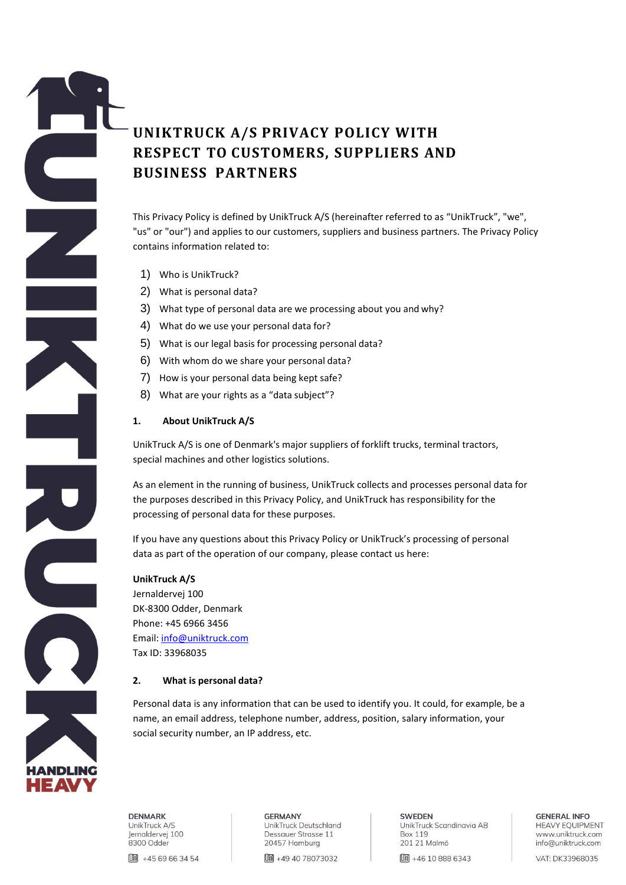# **UNIKTRUCK A/S PRIVACY POLICY WITH RESPECT TO CUSTOMERS, SUPPLIERS AND BUSINESS PARTNERS**

This Privacy Policy is defined by UnikTruck A/S (hereinafter referred to as "UnikTruck", "we", "us" or "our") and applies to our customers, suppliers and business partners. The Privacy Policy contains information related to:

- 1) Who is UnikTruck?
- 2) What is personal data?
- 3) What type of personal data are we processing about you and why?
- 4) What do we use your personal data for?
- 5) What is our legal basis for processing personal data?
- 6) With whom do we share your personal data?
- 7) How is your personal data being kept safe?
- 8) What are your rights as a "data subject"?

## **1. About UnikTruck A/S**

UnikTruck A/S is one of Denmark's major suppliers of forklift trucks, terminal tractors, special machines and other logistics solutions.

As an element in the running of business, UnikTruck collects and processes personal data for the purposes described in this Privacy Policy, and UnikTruck has responsibility for the processing of personal data for these purposes.

If you have any questions about this Privacy Policy or UnikTruck's processing of personal data as part of the operation of our company, please contact us here:

## **UnikTruck A/S**

Jernaldervej 100 DK-8300 Odder, Denmark Phone: +45 6966 3456 Email[: info@uniktruck.com](mailto:info@uniktruck.com) Tax ID: 33968035

## **2. What is personal data?**

Personal data is any information that can be used to identify you. It could, for example, be a name, an email address, telephone number, address, position, salary information, your social security number, an IP address, etc.



**DENMARK** UnikTruck A/S Jernaldervej 100 8300 Odder

□■ +45 69 66 34 54

**GERMANY** UnikTruck Deutschland Dessauer Strasse 11 20457 Hamburg

**[ # 49 40 78073032** 

**SWEDEN** UnikTruck Scandinavia AB **Box 119** 201 21 Malmö

**Ⅱ +46 10 888 6343** 

**GENERAL INFO HEAVY EQUIPMENT** www.uniktruck.com info@uniktruck.com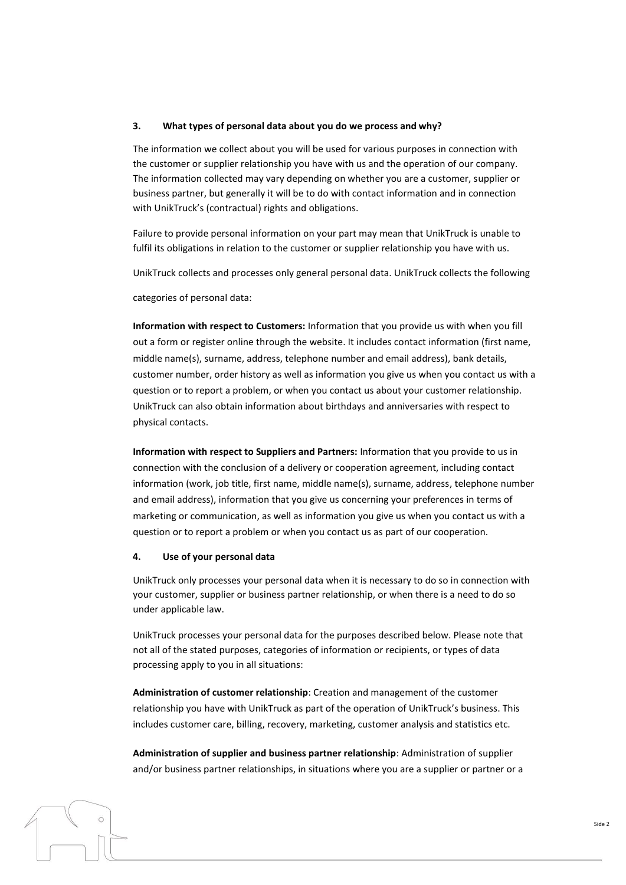#### **3. What types of personal data about you do we process and why?**

The information we collect about you will be used for various purposes in connection with the customer or supplier relationship you have with us and the operation of our company. The information collected may vary depending on whether you are a customer, supplier or business partner, but generally it will be to do with contact information and in connection with UnikTruck's (contractual) rights and obligations.

Failure to provide personal information on your part may mean that UnikTruck is unable to fulfil its obligations in relation to the customer or supplier relationship you have with us.

UnikTruck collects and processes only general personal data. UnikTruck collects the following

categories of personal data:

**Information with respect to Customers:** Information that you provide us with when you fill out a form or register online through the website. It includes contact information (first name, middle name(s), surname, address, telephone number and email address), bank details, customer number, order history as well as information you give us when you contact us with a question or to report a problem, or when you contact us about your customer relationship. UnikTruck can also obtain information about birthdays and anniversaries with respect to physical contacts.

**Information with respect to Suppliers and Partners:** Information that you provide to us in connection with the conclusion of a delivery or cooperation agreement, including contact information (work, job title, first name, middle name(s), surname, address, telephone number and email address), information that you give us concerning your preferences in terms of marketing or communication, as well as information you give us when you contact us with a question or to report a problem or when you contact us as part of our cooperation.

#### **4. Use of your personal data**

UnikTruck only processes your personal data when it is necessary to do so in connection with your customer, supplier or business partner relationship, or when there is a need to do so under applicable law.

UnikTruck processes your personal data for the purposes described below. Please note that not all of the stated purposes, categories of information or recipients, or types of data processing apply to you in all situations:

**Administration of customer relationship**: Creation and management of the customer relationship you have with UnikTruck as part of the operation of UnikTruck's business. This includes customer care, billing, recovery, marketing, customer analysis and statistics etc.

**Administration of supplier and business partner relationship**: Administration of supplier and/or business partner relationships, in situations where you are a supplier or partner or a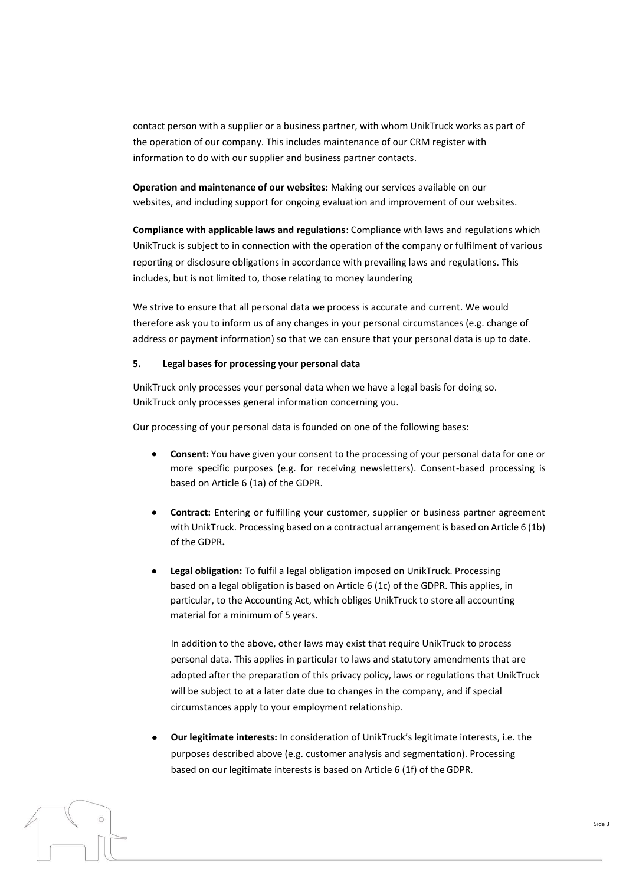contact person with a supplier or a business partner, with whom UnikTruck works as part of the operation of our company. This includes maintenance of our CRM register with information to do with our supplier and business partner contacts.

**Operation and maintenance of our websites:** Making our services available on our websites, and including support for ongoing evaluation and improvement of our websites.

**Compliance with applicable laws and regulations**: Compliance with laws and regulations which UnikTruck is subject to in connection with the operation of the company or fulfilment of various reporting or disclosure obligations in accordance with prevailing laws and regulations. This includes, but is not limited to, those relating to money laundering

We strive to ensure that all personal data we process is accurate and current. We would therefore ask you to inform us of any changes in your personal circumstances (e.g. change of address or payment information) so that we can ensure that your personal data is up to date.

## **5. Legal bases for processing your personal data**

UnikTruck only processes your personal data when we have a legal basis for doing so. UnikTruck only processes general information concerning you.

Our processing of your personal data is founded on one of the following bases:

- **Consent:** You have given your consent to the processing of your personal data for one or more specific purposes (e.g. for receiving newsletters). Consent-based processing is based on Article 6 (1a) of the GDPR.
- **Contract:** Entering or fulfilling your customer, supplier or business partner agreement with UnikTruck. Processing based on a contractual arrangement is based on Article 6 (1b) of the GDPR**.**
- **Legal obligation:** To fulfil a legal obligation imposed on UnikTruck. Processing based on a legal obligation is based on Article 6 (1c) of the GDPR. This applies, in particular, to the Accounting Act, which obliges UnikTruck to store all accounting material for a minimum of 5 years.

In addition to the above, other laws may exist that require UnikTruck to process personal data. This applies in particular to laws and statutory amendments that are adopted after the preparation of this privacy policy, laws or regulations that UnikTruck will be subject to at a later date due to changes in the company, and if special circumstances apply to your employment relationship.

• **Our legitimate interests:** In consideration of UnikTruck's legitimate interests, i.e. the purposes described above (e.g. customer analysis and segmentation). Processing based on our legitimate interests is based on Article 6 (1f) of theGDPR.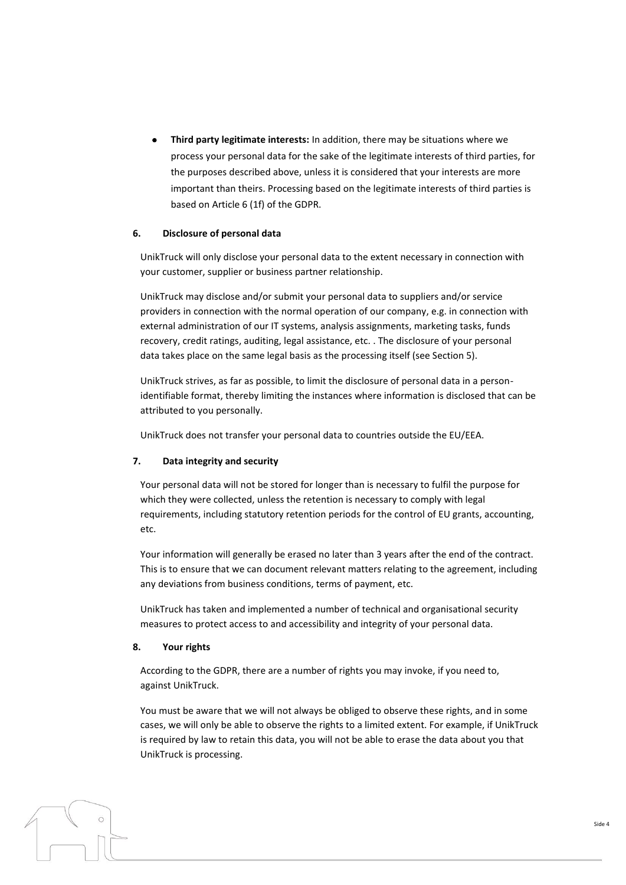• **Third party legitimate interests:** In addition, there may be situations where we process your personal data for the sake of the legitimate interests of third parties, for the purposes described above, unless it is considered that your interests are more important than theirs. Processing based on the legitimate interests of third parties is based on Article 6 (1f) of the GDPR.

## **6. Disclosure of personal data**

UnikTruck will only disclose your personal data to the extent necessary in connection with your customer, supplier or business partner relationship.

UnikTruck may disclose and/or submit your personal data to suppliers and/or service providers in connection with the normal operation of our company, e.g. in connection with external administration of our IT systems, analysis assignments, marketing tasks, funds recovery, credit ratings, auditing, legal assistance, etc. . The disclosure of your personal data takes place on the same legal basis as the processing itself (see Section 5).

UnikTruck strives, as far as possible, to limit the disclosure of personal data in a personidentifiable format, thereby limiting the instances where information is disclosed that can be attributed to you personally.

UnikTruck does not transfer your personal data to countries outside the EU/EEA.

## **7. Data integrity and security**

Your personal data will not be stored for longer than is necessary to fulfil the purpose for which they were collected, unless the retention is necessary to comply with legal requirements, including statutory retention periods for the control of EU grants, accounting, etc.

Your information will generally be erased no later than 3 years after the end of the contract. This is to ensure that we can document relevant matters relating to the agreement, including any deviations from business conditions, terms of payment, etc.

UnikTruck has taken and implemented a number of technical and organisational security measures to protect access to and accessibility and integrity of your personal data.

#### **8. Your rights**

According to the GDPR, there are a number of rights you may invoke, if you need to, against UnikTruck.

You must be aware that we will not always be obliged to observe these rights, and in some cases, we will only be able to observe the rights to a limited extent. For example, if UnikTruck is required by law to retain this data, you will not be able to erase the data about you that UnikTruck is processing.